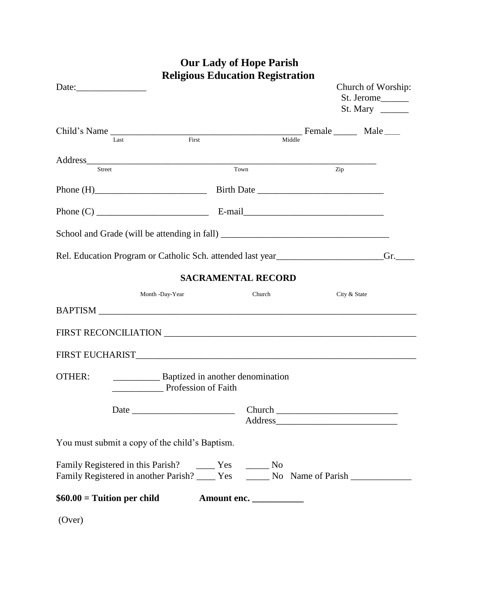|               |                                                                                          |  | <b>Our Lady of Hope Parish</b><br><b>Religious Education Registration</b>                                                                                                                                                      |  |                                                           |     |
|---------------|------------------------------------------------------------------------------------------|--|--------------------------------------------------------------------------------------------------------------------------------------------------------------------------------------------------------------------------------|--|-----------------------------------------------------------|-----|
|               |                                                                                          |  |                                                                                                                                                                                                                                |  | Church of Worship:<br>St. Jerome______<br>St. Mary $\_\_$ |     |
| Last          | First                                                                                    |  | Middle                                                                                                                                                                                                                         |  |                                                           |     |
| <b>Street</b> |                                                                                          |  | Town                                                                                                                                                                                                                           |  | Zip                                                       |     |
|               |                                                                                          |  |                                                                                                                                                                                                                                |  |                                                           |     |
|               |                                                                                          |  |                                                                                                                                                                                                                                |  |                                                           |     |
|               |                                                                                          |  |                                                                                                                                                                                                                                |  |                                                           |     |
|               | Rel. Education Program or Catholic Sch. attended last year______________________         |  |                                                                                                                                                                                                                                |  |                                                           | Gr. |
|               |                                                                                          |  | <b>SACRAMENTAL RECORD</b>                                                                                                                                                                                                      |  |                                                           |     |
|               | Month -Day-Year                                                                          |  | Church                                                                                                                                                                                                                         |  | City & State                                              |     |
|               | BAPTISM                                                                                  |  |                                                                                                                                                                                                                                |  |                                                           |     |
|               |                                                                                          |  |                                                                                                                                                                                                                                |  |                                                           |     |
|               |                                                                                          |  |                                                                                                                                                                                                                                |  |                                                           |     |
| OTHER:        | <b>EXECUTE:</b> Baptized in another denomination<br>Profession of Faith                  |  |                                                                                                                                                                                                                                |  |                                                           |     |
|               |                                                                                          |  | Address and the contract of the contract of the contract of the contract of the contract of the contract of the contract of the contract of the contract of the contract of the contract of the contract of the contract of th |  |                                                           |     |
|               | You must submit a copy of the child's Baptism.                                           |  |                                                                                                                                                                                                                                |  |                                                           |     |
|               | Family Registered in another Parish? ______ Yes _______ No Name of Parish ______________ |  |                                                                                                                                                                                                                                |  |                                                           |     |
|               | $$60.00 = T$ uition per child                                                            |  | Amount enc.                                                                                                                                                                                                                    |  |                                                           |     |
| (Over)        |                                                                                          |  |                                                                                                                                                                                                                                |  |                                                           |     |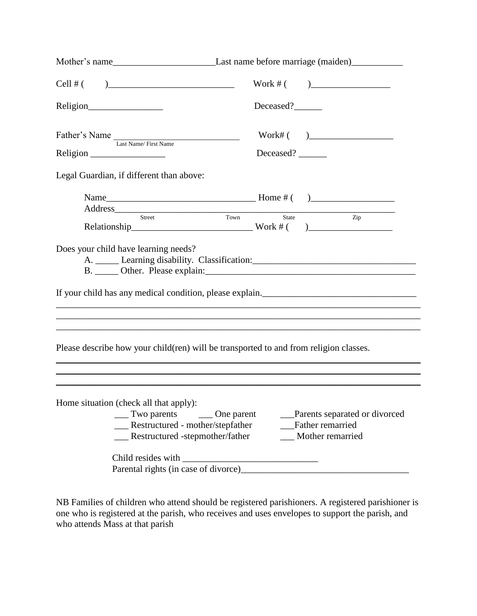| Cell # $($ )                                                                                                                                                               |            | Work # ( )                           |  |  |
|----------------------------------------------------------------------------------------------------------------------------------------------------------------------------|------------|--------------------------------------|--|--|
|                                                                                                                                                                            | Deceased?  |                                      |  |  |
| Father's Name<br>Last Name/First Name                                                                                                                                      |            | Work#( )                             |  |  |
|                                                                                                                                                                            | Deceased?  |                                      |  |  |
| Legal Guardian, if different than above:                                                                                                                                   |            |                                      |  |  |
| Address                                                                                                                                                                    |            |                                      |  |  |
|                                                                                                                                                                            |            | $\mathop{\mathrm{Zip}}\nolimits$     |  |  |
|                                                                                                                                                                            |            |                                      |  |  |
| ,我们也不能在这里的时候,我们也不能在这里的时候,我们也不能会在这里的时候,我们也不能会在这里的时候,我们也不能会在这里的时候,我们也不能会在这里的时候,我们也不<br>Please describe how your child(ren) will be transported to and from religion classes. |            |                                      |  |  |
|                                                                                                                                                                            |            |                                      |  |  |
| Home situation (check all that apply):<br>$\frac{1}{2}$ Two parents                                                                                                        | One parent | Parents separated or divorced        |  |  |
| __ Restructured - mother/stepfather<br>__ Restructured -stepmother/father                                                                                                  |            | Father remarried<br>Mother remarried |  |  |
| Child resides with                                                                                                                                                         |            |                                      |  |  |
| Parental rights (in case of divorce)                                                                                                                                       |            |                                      |  |  |

NB Families of children who attend should be registered parishioners. A registered parishioner is one who is registered at the parish, who receives and uses envelopes to support the parish, and who attends Mass at that parish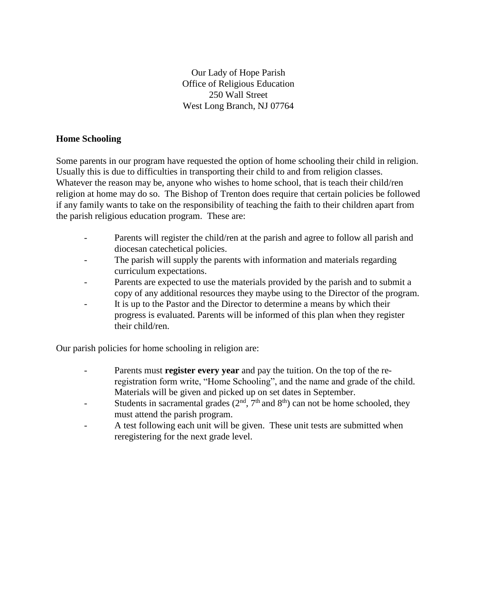Our Lady of Hope Parish Office of Religious Education 250 Wall Street West Long Branch, NJ 07764

## **Home Schooling**

Some parents in our program have requested the option of home schooling their child in religion. Usually this is due to difficulties in transporting their child to and from religion classes. Whatever the reason may be, anyone who wishes to home school, that is teach their child/ren religion at home may do so. The Bishop of Trenton does require that certain policies be followed if any family wants to take on the responsibility of teaching the faith to their children apart from the parish religious education program. These are:

- Parents will register the child/ren at the parish and agree to follow all parish and diocesan catechetical policies.
- The parish will supply the parents with information and materials regarding curriculum expectations.
- Parents are expected to use the materials provided by the parish and to submit a copy of any additional resources they maybe using to the Director of the program.
- It is up to the Pastor and the Director to determine a means by which their progress is evaluated. Parents will be informed of this plan when they register their child/ren.

Our parish policies for home schooling in religion are:

- Parents must **register every year** and pay the tuition. On the top of the reregistration form write, "Home Schooling", and the name and grade of the child. Materials will be given and picked up on set dates in September.
- Students in sacramental grades  $(2<sup>nd</sup>, 7<sup>th</sup>$  and  $8<sup>th</sup>)$  can not be home schooled, they must attend the parish program.
- A test following each unit will be given. These unit tests are submitted when reregistering for the next grade level.